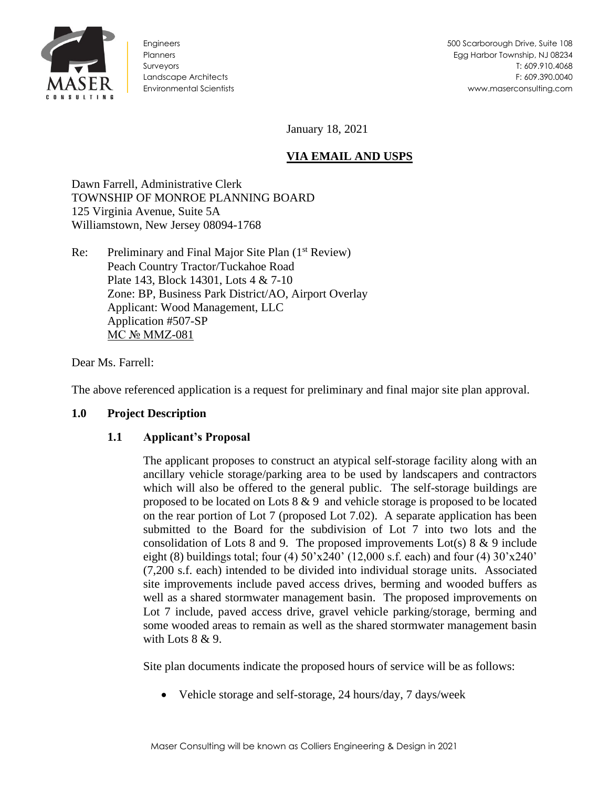

Engineers **Planners** Surveyors Landscape Architects Environmental Scientists

January 18, 2021

# **VIA EMAIL AND USPS**

Dawn Farrell, Administrative Clerk TOWNSHIP OF MONROE PLANNING BOARD 125 Virginia Avenue, Suite 5A Williamstown, New Jersey 08094-1768

Re: Preliminary and Final Major Site Plan (1<sup>st</sup> Review) Peach Country Tractor/Tuckahoe Road Plate 143, Block 14301, Lots 4 & 7-10 Zone: BP, Business Park District/AO, Airport Overlay Applicant: Wood Management, LLC Application #507-SP MC № MMZ-081

Dear Ms. Farrell:

The above referenced application is a request for preliminary and final major site plan approval.

### **1.0 Project Description**

### **1.1 Applicant's Proposal**

The applicant proposes to construct an atypical self-storage facility along with an ancillary vehicle storage/parking area to be used by landscapers and contractors which will also be offered to the general public. The self-storage buildings are proposed to be located on Lots 8 & 9 and vehicle storage is proposed to be located on the rear portion of Lot 7 (proposed Lot 7.02). A separate application has been submitted to the Board for the subdivision of Lot 7 into two lots and the consolidation of Lots 8 and 9. The proposed improvements  $Lot(s) 8 \& 9$  include eight (8) buildings total; four (4)  $50'x240'$  (12,000 s.f. each) and four (4)  $30'x240'$ (7,200 s.f. each) intended to be divided into individual storage units. Associated site improvements include paved access drives, berming and wooded buffers as well as a shared stormwater management basin. The proposed improvements on Lot 7 include, paved access drive, gravel vehicle parking/storage, berming and some wooded areas to remain as well as the shared stormwater management basin with Lots 8 & 9.

Site plan documents indicate the proposed hours of service will be as follows:

• Vehicle storage and self-storage, 24 hours/day, 7 days/week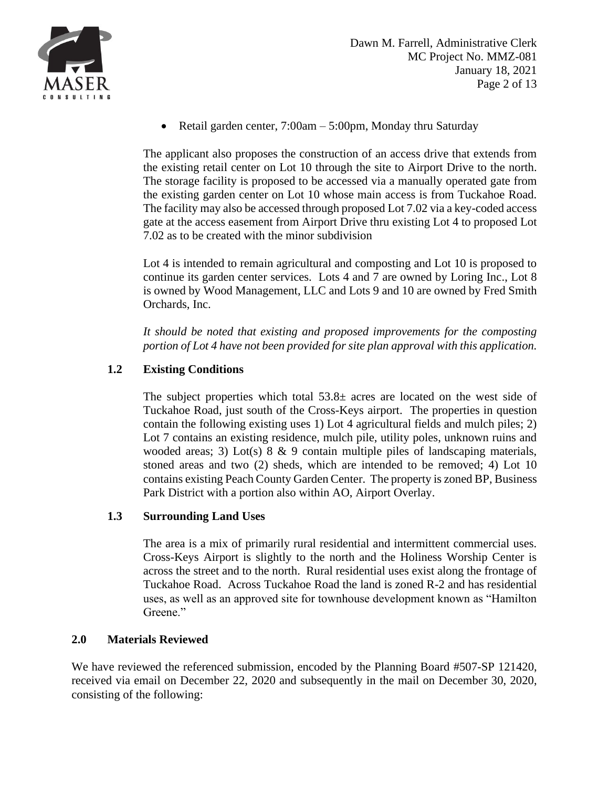

• Retail garden center,  $7:00am - 5:00pm$ , Monday thru Saturday

The applicant also proposes the construction of an access drive that extends from the existing retail center on Lot 10 through the site to Airport Drive to the north. The storage facility is proposed to be accessed via a manually operated gate from the existing garden center on Lot 10 whose main access is from Tuckahoe Road. The facility may also be accessed through proposed Lot 7.02 via a key-coded access gate at the access easement from Airport Drive thru existing Lot 4 to proposed Lot 7.02 as to be created with the minor subdivision

Lot 4 is intended to remain agricultural and composting and Lot 10 is proposed to continue its garden center services. Lots 4 and 7 are owned by Loring Inc., Lot 8 is owned by Wood Management, LLC and Lots 9 and 10 are owned by Fred Smith Orchards, Inc.

*It should be noted that existing and proposed improvements for the composting portion of Lot 4 have not been provided for site plan approval with this application.*

# **1.2 Existing Conditions**

The subject properties which total  $53.8\pm$  acres are located on the west side of Tuckahoe Road, just south of the Cross-Keys airport. The properties in question contain the following existing uses 1) Lot 4 agricultural fields and mulch piles; 2) Lot 7 contains an existing residence, mulch pile, utility poles, unknown ruins and wooded areas; 3) Lot(s)  $8 \& 9$  contain multiple piles of landscaping materials, stoned areas and two (2) sheds, which are intended to be removed; 4) Lot 10 contains existing Peach County Garden Center. The property is zoned BP, Business Park District with a portion also within AO, Airport Overlay.

# **1.3 Surrounding Land Uses**

The area is a mix of primarily rural residential and intermittent commercial uses. Cross-Keys Airport is slightly to the north and the Holiness Worship Center is across the street and to the north. Rural residential uses exist along the frontage of Tuckahoe Road. Across Tuckahoe Road the land is zoned R-2 and has residential uses, as well as an approved site for townhouse development known as "Hamilton Greene."

### **2.0 Materials Reviewed**

We have reviewed the referenced submission, encoded by the Planning Board #507-SP 121420, received via email on December 22, 2020 and subsequently in the mail on December 30, 2020, consisting of the following: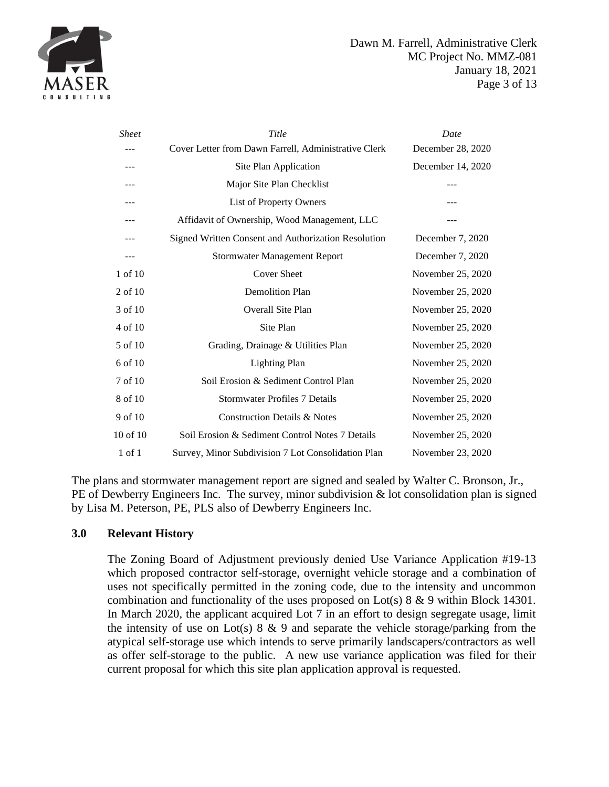

| <b>Sheet</b> | Title                                                      | Date              |
|--------------|------------------------------------------------------------|-------------------|
|              | Cover Letter from Dawn Farrell, Administrative Clerk       | December 28, 2020 |
|              | Site Plan Application                                      | December 14, 2020 |
| ---          | Major Site Plan Checklist                                  |                   |
| ---          | List of Property Owners                                    |                   |
|              | Affidavit of Ownership, Wood Management, LLC               |                   |
|              | <b>Signed Written Consent and Authorization Resolution</b> | December 7, 2020  |
| ---          | <b>Stormwater Management Report</b>                        | December 7, 2020  |
| 1 of 10      | <b>Cover Sheet</b>                                         | November 25, 2020 |
| $2$ of 10    | <b>Demolition Plan</b>                                     | November 25, 2020 |
| 3 of 10      | <b>Overall Site Plan</b>                                   | November 25, 2020 |
| 4 of 10      | Site Plan                                                  | November 25, 2020 |
| 5 of 10      | Grading, Drainage & Utilities Plan                         | November 25, 2020 |
| 6 of 10      | <b>Lighting Plan</b>                                       | November 25, 2020 |
| 7 of 10      | Soil Erosion & Sediment Control Plan                       | November 25, 2020 |
| 8 of 10      | <b>Stormwater Profiles 7 Details</b>                       | November 25, 2020 |
| 9 of 10      | <b>Construction Details &amp; Notes</b>                    | November 25, 2020 |
| 10 of 10     | Soil Erosion & Sediment Control Notes 7 Details            | November 25, 2020 |
| $1$ of $1$   | Survey, Minor Subdivision 7 Lot Consolidation Plan         | November 23, 2020 |

The plans and stormwater management report are signed and sealed by Walter C. Bronson, Jr., PE of Dewberry Engineers Inc. The survey, minor subdivision & lot consolidation plan is signed by Lisa M. Peterson, PE, PLS also of Dewberry Engineers Inc.

#### **3.0 Relevant History**

The Zoning Board of Adjustment previously denied Use Variance Application #19-13 which proposed contractor self-storage, overnight vehicle storage and a combination of uses not specifically permitted in the zoning code, due to the intensity and uncommon combination and functionality of the uses proposed on Lot(s)  $8 \& 9$  within Block 14301. In March 2020, the applicant acquired Lot 7 in an effort to design segregate usage, limit the intensity of use on Lot(s)  $8 \& 9$  and separate the vehicle storage/parking from the atypical self-storage use which intends to serve primarily landscapers/contractors as well as offer self-storage to the public. A new use variance application was filed for their current proposal for which this site plan application approval is requested.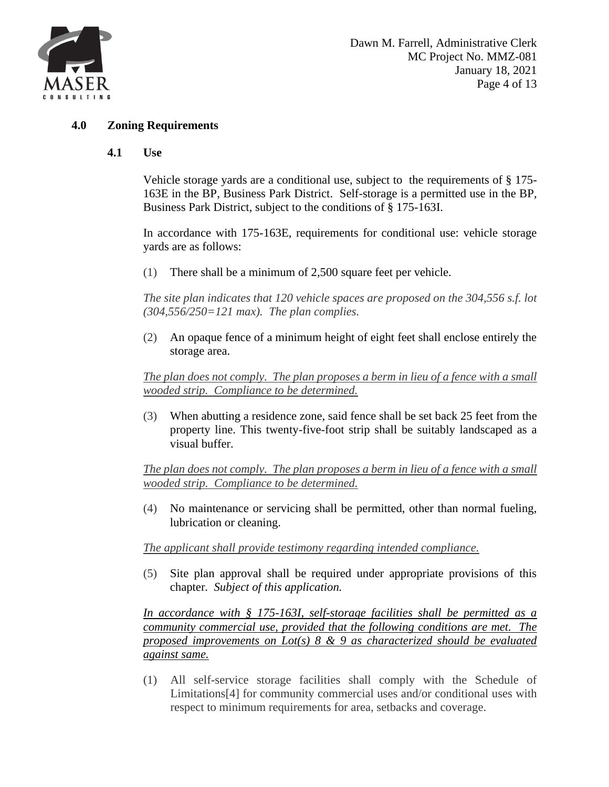

#### **4.0 Zoning Requirements**

#### **4.1 Use**

Vehicle storage yards are a conditional use, subject to the requirements of § 175- 163E in the BP, Business Park District. Self-storage is a permitted use in the BP, Business Park District, subject to the conditions of § 175-163I.

In accordance with 175-163E, requirements for conditional use: vehicle storage yards are as follows:

[\(1\)](https://ecode360.com/7182536#7182536) There shall be a minimum of 2,500 square feet per vehicle.

*The site plan indicates that 120 vehicle spaces are proposed on the 304,556 s.f. lot (304,556/250=121 max). The plan complies.*

[\(2\)](https://ecode360.com/7182537#7182537) An opaque fence of a minimum height of eight feet shall enclose entirely the storage area.

*The plan does not comply. The plan proposes a berm in lieu of a fence with a small wooded strip. Compliance to be determined.* 

[\(3\)](https://ecode360.com/7182538#7182538) When abutting a residence zone, said fence shall be set back 25 feet from the property line. This twenty-five-foot strip shall be suitably landscaped as a visual buffer.

*The plan does not comply. The plan proposes a berm in lieu of a fence with a small wooded strip. Compliance to be determined.* 

[\(4\)](https://ecode360.com/7182539#7182539) No maintenance or servicing shall be permitted, other than normal fueling, lubrication or cleaning.

*The applicant shall provide testimony regarding intended compliance.* 

[\(5\)](https://ecode360.com/7182540#7182540) Site plan approval shall be required under appropriate provisions of this chapter. *Subject of this application.*

*In accordance with § 175-163I, self-storage facilities shall be permitted as a community commercial use, provided that the following conditions are met. The proposed improvements on Lot(s) 8 & 9 as characterized should be evaluated against same.* 

[\(1\)](https://ecode360.com/7182564#7182564) All self-service storage facilities shall comply with the Schedule of Limitation[s\[4\]](https://ecode360.com/7182448?highlight=&searchId=6224517229349327#ft7182564-4) for community commercial uses and/or conditional uses with respect to minimum requirements for area, setbacks and coverage.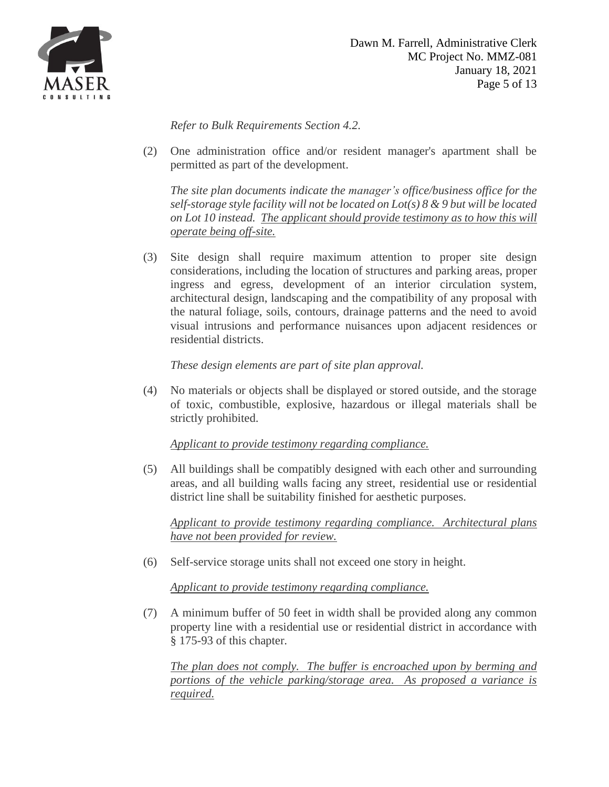

*Refer to Bulk Requirements Section 4.2.*

[\(2\)](https://ecode360.com/7182565#7182565) One administration office and/or resident manager's apartment shall be permitted as part of the development.

*The site plan documents indicate the manager's office/business office for the self-storage style facility will not be located on Lot(s) 8 & 9 but will be located on Lot 10 instead. The applicant should provide testimony as to how this will operate being off-site.*

[\(3\)](https://ecode360.com/7182566#7182566) Site design shall require maximum attention to proper site design considerations, including the location of structures and parking areas, proper ingress and egress, development of an interior circulation system, architectural design, landscaping and the compatibility of any proposal with the natural foliage, soils, contours, drainage patterns and the need to avoid visual intrusions and performance nuisances upon adjacent residences or residential districts.

*These design elements are part of site plan approval.*

[\(4\)](https://ecode360.com/7182567#7182567) No materials or objects shall be displayed or stored outside, and the storage of toxic, combustible, explosive, hazardous or illegal materials shall be strictly prohibited.

*Applicant to provide testimony regarding compliance.*

[\(5\)](https://ecode360.com/7182568#7182568) All buildings shall be compatibly designed with each other and surrounding areas, and all building walls facing any street, residential use or residential district line shall be suitability finished for aesthetic purposes.

*Applicant to provide testimony regarding compliance. Architectural plans have not been provided for review.*

[\(6\)](https://ecode360.com/7182569#7182569) Self-service storage units shall not exceed one story in height.

*Applicant to provide testimony regarding compliance.*

[\(7\)](https://ecode360.com/7182570#7182570) A minimum buffer of 50 feet in width shall be provided along any common property line with a residential use or residential district in accordance with § [175-93](https://ecode360.com/7180030#7180030) of this chapter.

*The plan does not comply. The buffer is encroached upon by berming and portions of the vehicle parking/storage area. As proposed a variance is required.*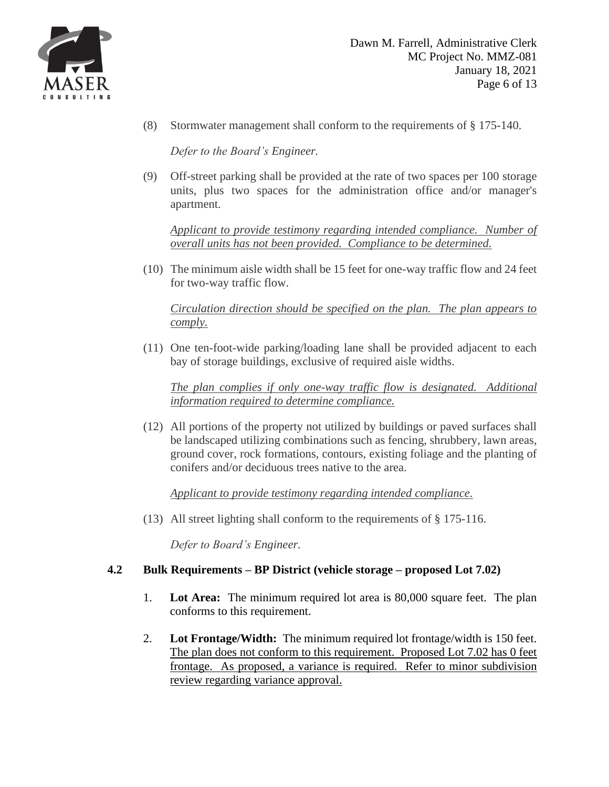

[\(8\)](https://ecode360.com/7182571#7182571) Stormwater management shall conform to the requirements of § [175-140.](https://ecode360.com/7180988#7180988)

*Defer to the Board's Engineer.*

[\(9\)](https://ecode360.com/7182572#7182572) Off-street parking shall be provided at the rate of two spaces per 100 storage units, plus two spaces for the administration office and/or manager's apartment.

*Applicant to provide testimony regarding intended compliance. Number of overall units has not been provided. Compliance to be determined.*

[\(10\)](https://ecode360.com/7182573#7182573) The minimum aisle width shall be 15 feet for one-way traffic flow and 24 feet for two-way traffic flow.

*Circulation direction should be specified on the plan. The plan appears to comply.*

[\(11\)](https://ecode360.com/7182574#7182574) One ten-foot-wide parking/loading lane shall be provided adjacent to each bay of storage buildings, exclusive of required aisle widths.

*The plan complies if only one-way traffic flow is designated. Additional information required to determine compliance.*

[\(12\)](https://ecode360.com/7182575#7182575) All portions of the property not utilized by buildings or paved surfaces shall be landscaped utilizing combinations such as fencing, shrubbery, lawn areas, ground cover, rock formations, contours, existing foliage and the planting of conifers and/or deciduous trees native to the area.

*Applicant to provide testimony regarding intended compliance.*

[\(13\)](https://ecode360.com/7182576#7182576) All street lighting shall conform to the requirements of § [175-116.](https://ecode360.com/7180409#7180409)

*Defer to Board's Engineer.*

### **4.2 Bulk Requirements – BP District (vehicle storage – proposed Lot 7.02)**

- 1. **Lot Area:** The minimum required lot area is 80,000 square feet. The plan conforms to this requirement.
- 2. **Lot Frontage/Width:** The minimum required lot frontage/width is 150 feet. The plan does not conform to this requirement. Proposed Lot 7.02 has 0 feet frontage. As proposed, a variance is required. Refer to minor subdivision review regarding variance approval.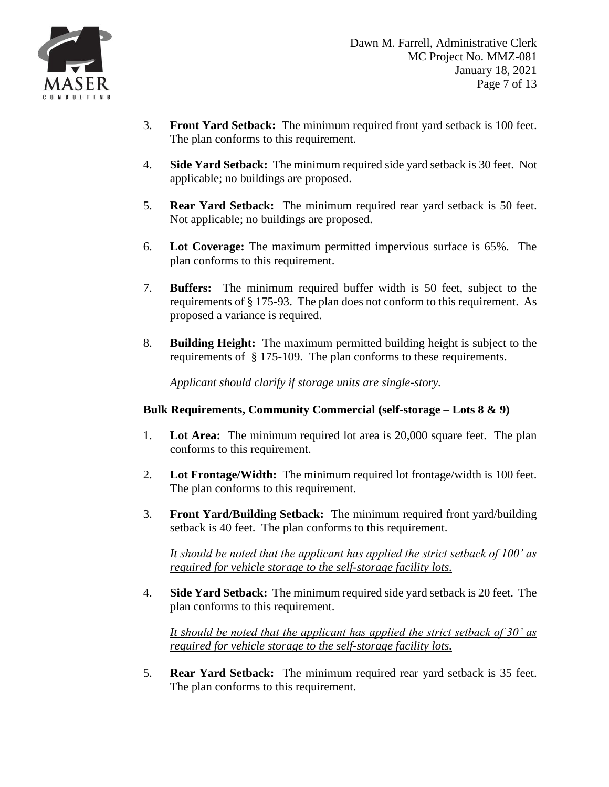

- 3. **Front Yard Setback:** The minimum required front yard setback is 100 feet. The plan conforms to this requirement.
- 4. **Side Yard Setback:** The minimum required side yard setback is 30 feet. Not applicable; no buildings are proposed.
- 5. **Rear Yard Setback:** The minimum required rear yard setback is 50 feet. Not applicable; no buildings are proposed.
- 6. **Lot Coverage:** The maximum permitted impervious surface is 65%. The plan conforms to this requirement.
- 7. **Buffers:** The minimum required buffer width is 50 feet, subject to the requirements of § 175-93. The plan does not conform to this requirement. As proposed a variance is required.
- 8. **Building Height:** The maximum permitted building height is subject to the requirements of § 175-109. The plan conforms to these requirements.

*Applicant should clarify if storage units are single-story.*

### **Bulk Requirements, Community Commercial (self-storage – Lots 8 & 9)**

- 1. **Lot Area:** The minimum required lot area is 20,000 square feet. The plan conforms to this requirement.
- 2. **Lot Frontage/Width:** The minimum required lot frontage/width is 100 feet. The plan conforms to this requirement.
- 3. **Front Yard/Building Setback:** The minimum required front yard/building setback is 40 feet. The plan conforms to this requirement.

*It should be noted that the applicant has applied the strict setback of 100' as required for vehicle storage to the self-storage facility lots.*

4. **Side Yard Setback:** The minimum required side yard setback is 20 feet. The plan conforms to this requirement.

*It should be noted that the applicant has applied the strict setback of 30' as required for vehicle storage to the self-storage facility lots.*

5. **Rear Yard Setback:** The minimum required rear yard setback is 35 feet. The plan conforms to this requirement.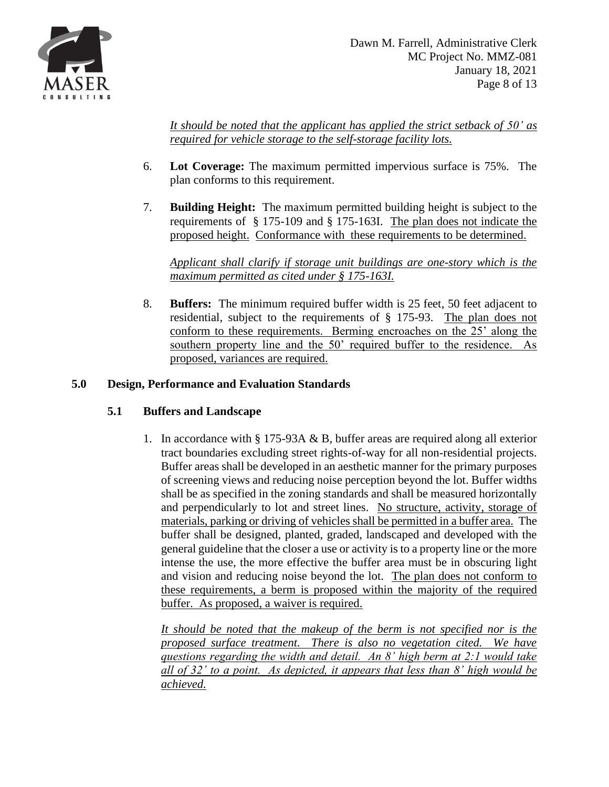

*It should be noted that the applicant has applied the strict setback of 50' as required for vehicle storage to the self-storage facility lots.*

- 6. **Lot Coverage:** The maximum permitted impervious surface is 75%. The plan conforms to this requirement.
- 7. **Building Height:** The maximum permitted building height is subject to the requirements of § 175-109 and § 175-163I. The plan does not indicate the proposed height. Conformance with these requirements to be determined.

*Applicant shall clarify if storage unit buildings are one-story which is the maximum permitted as cited under § 175-163I.*

8. **Buffers:** The minimum required buffer width is 25 feet, 50 feet adjacent to residential, subject to the requirements of § 175-93. The plan does not conform to these requirements. Berming encroaches on the 25' along the southern property line and the 50' required buffer to the residence. As proposed, variances are required.

## **5.0 Design, Performance and Evaluation Standards**

### **5.1 Buffers and Landscape**

1. In accordance with § 175-93A & B, buffer areas are required along all exterior tract boundaries excluding street rights-of-way for all non-residential projects. Buffer areas shall be developed in an aesthetic manner for the primary purposes of screening views and reducing noise perception beyond the lot. Buffer widths shall be as specified in the zoning standards and shall be measured horizontally and perpendicularly to lot and street lines. No structure, activity, storage of materials, parking or driving of vehicles shall be permitted in a buffer area. The buffer shall be designed, planted, graded, landscaped and developed with the general guideline that the closer a use or activity is to a property line or the more intense the use, the more effective the buffer area must be in obscuring light and vision and reducing noise beyond the lot. The plan does not conform to these requirements, a berm is proposed within the majority of the required buffer. As proposed, a waiver is required.

*It should be noted that the makeup of the berm is not specified nor is the proposed surface treatment. There is also no vegetation cited. We have questions regarding the width and detail. An 8' high berm at 2:1 would take all of 32' to a point. As depicted, it appears that less than 8' high would be achieved.*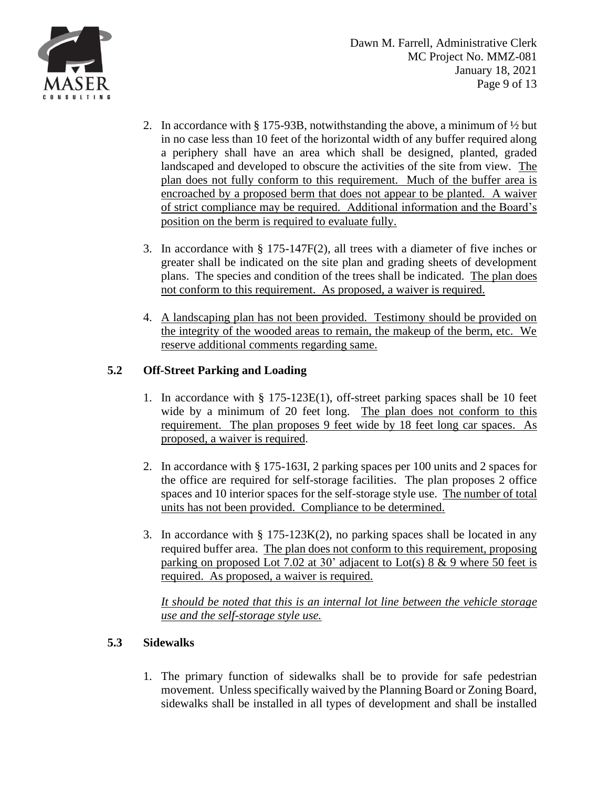

- 2. In accordance with § 175-93B, notwithstanding the above, a minimum of  $\frac{1}{2}$  but in no case less than 10 feet of the horizontal width of any buffer required along a periphery shall have an area which shall be designed, planted, graded landscaped and developed to obscure the activities of the site from view. The plan does not fully conform to this requirement. Much of the buffer area is encroached by a proposed berm that does not appear to be planted. A waiver of strict compliance may be required. Additional information and the Board's position on the berm is required to evaluate fully.
- 3. In accordance with § 175-147F(2), all trees with a diameter of five inches or greater shall be indicated on the site plan and grading sheets of development plans. The species and condition of the trees shall be indicated. The plan does not conform to this requirement. As proposed, a waiver is required.
- 4. A landscaping plan has not been provided. Testimony should be provided on the integrity of the wooded areas to remain, the makeup of the berm, etc. We reserve additional comments regarding same.

# **5.2 Off-Street Parking and Loading**

- 1. In accordance with § 175-123E(1), off-street parking spaces shall be 10 feet wide by a minimum of 20 feet long. The plan does not conform to this requirement. The plan proposes 9 feet wide by 18 feet long car spaces. As proposed, a waiver is required.
- 2. In accordance with § 175-163I, 2 parking spaces per 100 units and 2 spaces for the office are required for self-storage facilities. The plan proposes 2 office spaces and 10 interior spaces for the self-storage style use. The number of total units has not been provided. Compliance to be determined.
- 3. In accordance with  $\S 175-123K(2)$ , no parking spaces shall be located in any required buffer area. The plan does not conform to this requirement, proposing parking on proposed Lot 7.02 at 30' adjacent to Lot(s)  $8 \& 9$  where 50 feet is required. As proposed, a waiver is required.

*It should be noted that this is an internal lot line between the vehicle storage use and the self-storage style use.*

# **5.3 Sidewalks**

1. The primary function of sidewalks shall be to provide for safe pedestrian movement. Unless specifically waived by the Planning Board or Zoning Board, sidewalks shall be installed in all types of development and shall be installed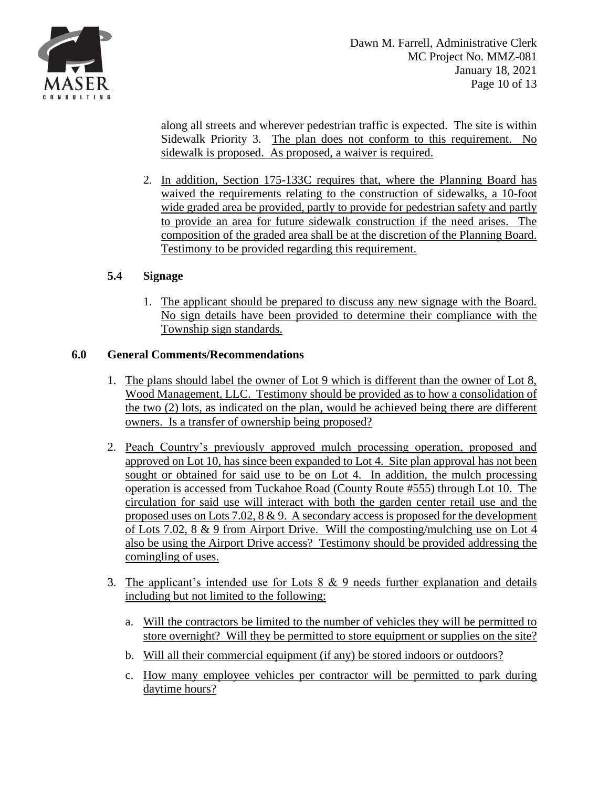

along all streets and wherever pedestrian traffic is expected. The site is within Sidewalk Priority 3. The plan does not conform to this requirement. No sidewalk is proposed. As proposed, a waiver is required.

2. In addition, Section 175-133C requires that, where the Planning Board has waived the requirements relating to the construction of sidewalks, a 10-foot wide graded area be provided, partly to provide for pedestrian safety and partly to provide an area for future sidewalk construction if the need arises. The composition of the graded area shall be at the discretion of the Planning Board. Testimony to be provided regarding this requirement.

## **5.4 Signage**

1. The applicant should be prepared to discuss any new signage with the Board. No sign details have been provided to determine their compliance with the Township sign standards.

### **6.0 General Comments/Recommendations**

- 1. The plans should label the owner of Lot 9 which is different than the owner of Lot 8, Wood Management, LLC. Testimony should be provided as to how a consolidation of the two (2) lots, as indicated on the plan, would be achieved being there are different owners. Is a transfer of ownership being proposed?
- 2. Peach Country's previously approved mulch processing operation, proposed and approved on Lot 10, has since been expanded to Lot 4. Site plan approval has not been sought or obtained for said use to be on Lot 4. In addition, the mulch processing operation is accessed from Tuckahoe Road (County Route #555) through Lot 10. The circulation for said use will interact with both the garden center retail use and the proposed uses on Lots 7.02, 8 & 9. A secondary access is proposed for the development of Lots 7.02, 8 & 9 from Airport Drive. Will the composting/mulching use on Lot 4 also be using the Airport Drive access? Testimony should be provided addressing the comingling of uses.
- 3. The applicant's intended use for Lots 8 & 9 needs further explanation and details including but not limited to the following:
	- a. Will the contractors be limited to the number of vehicles they will be permitted to store overnight? Will they be permitted to store equipment or supplies on the site?
	- b. Will all their commercial equipment (if any) be stored indoors or outdoors?
	- c. How many employee vehicles per contractor will be permitted to park during daytime hours?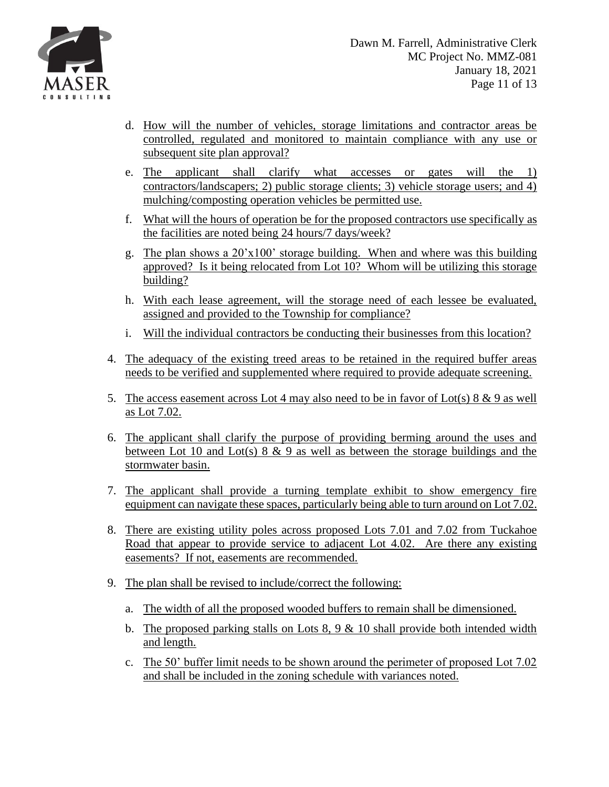

- d. How will the number of vehicles, storage limitations and contractor areas be controlled, regulated and monitored to maintain compliance with any use or subsequent site plan approval?
- e. The applicant shall clarify what accesses or gates will the 1) contractors/landscapers; 2) public storage clients; 3) vehicle storage users; and 4) mulching/composting operation vehicles be permitted use.
- f. What will the hours of operation be for the proposed contractors use specifically as the facilities are noted being 24 hours/7 days/week?
- g. The plan shows a 20'x100' storage building. When and where was this building approved? Is it being relocated from Lot 10? Whom will be utilizing this storage building?
- h. With each lease agreement, will the storage need of each lessee be evaluated, assigned and provided to the Township for compliance?
- i. Will the individual contractors be conducting their businesses from this location?
- 4. The adequacy of the existing treed areas to be retained in the required buffer areas needs to be verified and supplemented where required to provide adequate screening.
- 5. The access easement across Lot 4 may also need to be in favor of Lot(s)  $8 \& 9$  as well as Lot 7.02.
- 6. The applicant shall clarify the purpose of providing berming around the uses and between Lot 10 and Lot(s)  $8 \& 9$  as well as between the storage buildings and the stormwater basin.
- 7. The applicant shall provide a turning template exhibit to show emergency fire equipment can navigate these spaces, particularly being able to turn around on Lot 7.02.
- 8. There are existing utility poles across proposed Lots 7.01 and 7.02 from Tuckahoe Road that appear to provide service to adjacent Lot 4.02. Are there any existing easements? If not, easements are recommended.
- 9. The plan shall be revised to include/correct the following:
	- a. The width of all the proposed wooded buffers to remain shall be dimensioned.
	- b. The proposed parking stalls on Lots  $8, 9 \& 10$  shall provide both intended width and length.
	- c. The 50' buffer limit needs to be shown around the perimeter of proposed Lot 7.02 and shall be included in the zoning schedule with variances noted.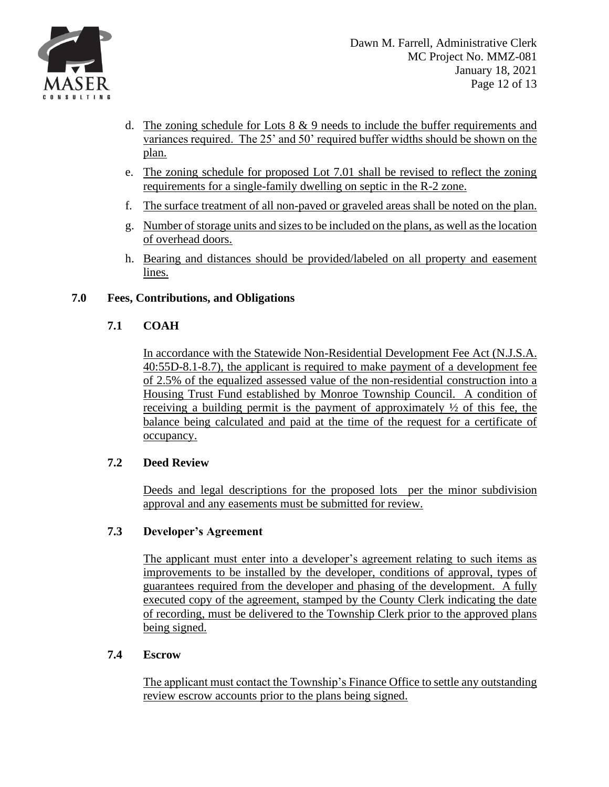

- d. The zoning schedule for Lots  $8 \& 9$  needs to include the buffer requirements and variances required. The 25' and 50' required buffer widths should be shown on the plan.
- e. The zoning schedule for proposed Lot 7.01 shall be revised to reflect the zoning requirements for a single-family dwelling on septic in the R-2 zone.
- f. The surface treatment of all non-paved or graveled areas shall be noted on the plan.
- g. Number of storage units and sizes to be included on the plans, as well as the location of overhead doors.
- h. Bearing and distances should be provided/labeled on all property and easement lines.

## **7.0 Fees, Contributions, and Obligations**

## **7.1 COAH**

In accordance with the Statewide Non-Residential Development Fee Act (N.J.S.A. 40:55D-8.1-8.7), the applicant is required to make payment of a development fee of 2.5% of the equalized assessed value of the non-residential construction into a Housing Trust Fund established by Monroe Township Council. A condition of receiving a building permit is the payment of approximately ½ of this fee, the balance being calculated and paid at the time of the request for a certificate of occupancy.

### **7.2 Deed Review**

Deeds and legal descriptions for the proposed lots per the minor subdivision approval and any easements must be submitted for review.

### **7.3 Developer's Agreement**

The applicant must enter into a developer's agreement relating to such items as improvements to be installed by the developer, conditions of approval, types of guarantees required from the developer and phasing of the development. A fully executed copy of the agreement, stamped by the County Clerk indicating the date of recording, must be delivered to the Township Clerk prior to the approved plans being signed.

### **7.4 Escrow**

The applicant must contact the Township's Finance Office to settle any outstanding review escrow accounts prior to the plans being signed.